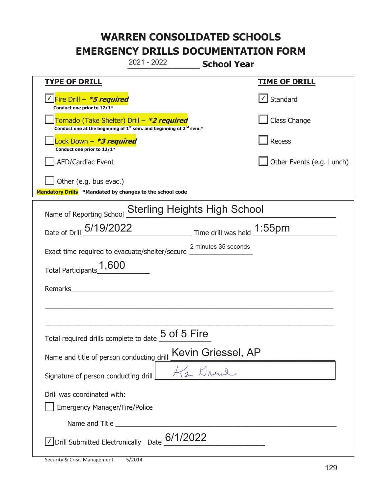|                                                                                                                                           | 2021 - 2022                         | <b>School Year</b>         |                           |
|-------------------------------------------------------------------------------------------------------------------------------------------|-------------------------------------|----------------------------|---------------------------|
| <b>TYPE OF DRILL</b>                                                                                                                      |                                     |                            | <b>TIME OF DRILL</b>      |
| <u>V</u> Fire Drill – <b>*5 required</b><br>Conduct one prior to 12/1*                                                                    |                                     |                            | Standard                  |
| Tornado (Take Shelter) Drill – *2 required<br>Conduct one at the beginning of 1 <sup>st</sup> sem. and beginning of 2 <sup>nd</sup> sem.* |                                     |                            | Class Change              |
| Lock Down - *3 required<br>Conduct one prior to 12/1*                                                                                     |                                     |                            | Recess                    |
| <b>AED/Cardiac Event</b>                                                                                                                  |                                     |                            | Other Events (e.g. Lunch) |
| Other (e.g. bus evac.)<br>Mandatory Drills *Mandated by changes to the school code                                                        |                                     |                            |                           |
| Name of Reporting School                                                                                                                  | <b>Sterling Heights High School</b> |                            |                           |
| Date of Drill 5/19/2022                                                                                                                   |                                     | Time drill was held 1:55pm |                           |
| Exact time required to evacuate/shelter/secure 2 minutes 35 seconds                                                                       |                                     |                            |                           |
| Total Participants_1,600                                                                                                                  |                                     |                            |                           |
| Remarks                                                                                                                                   |                                     |                            |                           |
|                                                                                                                                           |                                     |                            |                           |
|                                                                                                                                           |                                     |                            |                           |
| Total required drills complete to date $\underline{\mathsf{5}}\ \mathsf{of}\ \mathsf{5}\ \mathsf{Fire}$                                   |                                     |                            |                           |
| Name and title of person conducting drill                                                                                                 |                                     | Kevin Griessel, AP         |                           |
| Signature of person conducting drill                                                                                                      |                                     | a Mris l.                  |                           |
| Drill was coordinated with:<br><b>Emergency Manager/Fire/Police</b>                                                                       |                                     |                            |                           |
|                                                                                                                                           |                                     |                            |                           |
| $\vee$ Drill Submitted Electronically Date $6/1/2022$                                                                                     |                                     |                            |                           |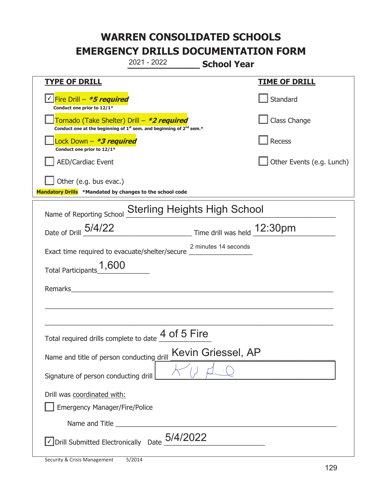|                                                                                                                                           | 2021 - 2022                 | <b>School Year</b>   |                           |
|-------------------------------------------------------------------------------------------------------------------------------------------|-----------------------------|----------------------|---------------------------|
| <b>TYPE OF DRILL</b>                                                                                                                      |                             |                      | <b>TIME OF DRILL</b>      |
| <u>√ Fire Drill – <i>*5 required</i></u><br>Conduct one prior to 12/1*                                                                    |                             |                      | Standard                  |
| Tornado (Take Shelter) Drill - *2 required<br>Conduct one at the beginning of 1 <sup>st</sup> sem. and beginning of 2 <sup>nd</sup> sem.* |                             |                      | Class Change              |
| Lock Down - *3 required<br>Conduct one prior to 12/1*                                                                                     |                             |                      | Recess                    |
| <b>AED/Cardiac Event</b>                                                                                                                  |                             |                      | Other Events (e.g. Lunch) |
| Other (e.g. bus evac.)<br>Mandatory Drills *Mandated by changes to the school code                                                        |                             |                      |                           |
| Name of Reporting School Sterling Heights High School                                                                                     |                             |                      |                           |
| Date of Drill 5/4/22                                                                                                                      | Time drill was held 12:30pm |                      |                           |
| Exact time required to evacuate/shelter/secure _________________________________                                                          |                             | 2 minutes 14 seconds |                           |
| Total Participants_1,600                                                                                                                  |                             |                      |                           |
| Remarks                                                                                                                                   |                             |                      |                           |
|                                                                                                                                           |                             |                      |                           |
| Total required drills complete to date 4 of 5 Fire                                                                                        |                             |                      |                           |
| Name and title of person conducting drill                                                                                                 |                             | Kevin Griessel, AP   |                           |
| Signature of person conducting drill                                                                                                      |                             |                      |                           |
| Drill was coordinated with:<br><b>Emergency Manager/Fire/Police</b>                                                                       |                             |                      |                           |
|                                                                                                                                           |                             |                      |                           |
| Drill Submitted Electronically Date $5/4/2022$                                                                                            |                             |                      |                           |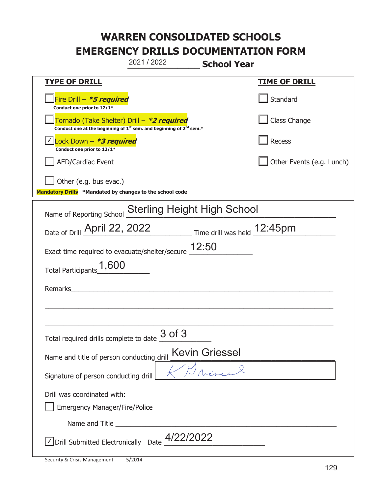|                                                                                    | 2021 / 2022                                                                                 | <b>School Year</b>    |                           |
|------------------------------------------------------------------------------------|---------------------------------------------------------------------------------------------|-----------------------|---------------------------|
| <b>TYPE OF DRILL</b>                                                               |                                                                                             |                       | <b>TIME OF DRILL</b>      |
| Fire Drill - *5 required<br>Conduct one prior to 12/1*                             |                                                                                             |                       | Standard                  |
| Tornado (Take Shelter) Drill – *2 required                                         | Conduct one at the beginning of 1 <sup>st</sup> sem. and beginning of 2 <sup>nd</sup> sem.* |                       | Class Change              |
| Lock Down - *3 required<br>Conduct one prior to 12/1*                              |                                                                                             |                       | Recess                    |
| <b>AED/Cardiac Event</b>                                                           |                                                                                             |                       | Other Events (e.g. Lunch) |
| Other (e.g. bus evac.)<br>Mandatory Drills *Mandated by changes to the school code |                                                                                             |                       |                           |
|                                                                                    |                                                                                             |                       |                           |
| Name of Reporting School                                                           | <b>Sterling Height High School</b>                                                          |                       |                           |
| Date of Drill April 22, 2022 Time drill was held 12:45pm                           |                                                                                             |                       |                           |
| Exact time required to evacuate/shelter/secure $12:50$                             |                                                                                             |                       |                           |
| Total Participants <sup>1</sup> ,600                                               |                                                                                             |                       |                           |
| Remarks                                                                            | <u> 1980 - Jan James James Barbara, president e</u>                                         |                       |                           |
|                                                                                    |                                                                                             |                       |                           |
|                                                                                    |                                                                                             |                       |                           |
| Total required drills complete to date $\underline{\mathcal{3} \text{ of 3}}$      |                                                                                             |                       |                           |
| Name and title of person conducting drill                                          |                                                                                             | <b>Kevin Griessel</b> |                           |
| Signature of person conducting drill                                               |                                                                                             |                       |                           |
| Drill was coordinated with:                                                        |                                                                                             |                       |                           |
| <b>Emergency Manager/Fire/Police</b>                                               |                                                                                             |                       |                           |
|                                                                                    |                                                                                             |                       |                           |
| $\sqrt{\phantom{a}}$ Drill Submitted Electronically Date $\phantom{a}$ 4/22/2022   |                                                                                             |                       |                           |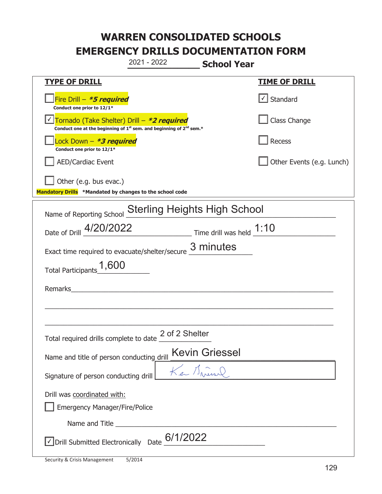|                                                                            | 2021 - 2022                                                                                 | <b>School Year</b>                                    |                                   |
|----------------------------------------------------------------------------|---------------------------------------------------------------------------------------------|-------------------------------------------------------|-----------------------------------|
| <b>TYPE OF DRILL</b>                                                       |                                                                                             |                                                       | <b>TIME OF DRILL</b>              |
| Fire Drill $-$ <b>*5 required</b><br>Conduct one prior to 12/1*            |                                                                                             |                                                       | $\lfloor \angle \rfloor$ Standard |
| Tornado (Take Shelter) Drill – *2 required                                 | Conduct one at the beginning of 1 <sup>st</sup> sem. and beginning of 2 <sup>nd</sup> sem.* |                                                       | Class Change                      |
| Lock Down – <b>*<i>3 required</i></b><br>Conduct one prior to 12/1*        |                                                                                             |                                                       | Recess                            |
| <b>AED/Cardiac Event</b>                                                   |                                                                                             |                                                       | Other Events (e.g. Lunch)         |
| Other (e.g. bus evac.)                                                     |                                                                                             |                                                       |                                   |
| Mandatory Drills *Mandated by changes to the school code                   |                                                                                             |                                                       |                                   |
| Name of Reporting School                                                   | <b>Sterling Heights High School</b>                                                         |                                                       |                                   |
| Date of Drill 4/20/2022                                                    |                                                                                             | $\frac{1:10}{2}$ Time drill was held $\frac{1:10}{2}$ |                                   |
| Exact time required to evacuate/shelter/secure                             |                                                                                             | 3 minutes                                             |                                   |
| Total Participants <sup>1</sup> ,600                                       |                                                                                             |                                                       |                                   |
| Remarks                                                                    |                                                                                             |                                                       |                                   |
|                                                                            |                                                                                             |                                                       |                                   |
|                                                                            |                                                                                             |                                                       |                                   |
| Total required drills complete to date $\frac{2 \text{ of 2 SheIter}}{}$   |                                                                                             |                                                       |                                   |
| Name and title of person conducting drill                                  |                                                                                             | <b>Kevin Griessel</b>                                 |                                   |
| Signature of person conducting drill                                       |                                                                                             | Car Mineral                                           |                                   |
| Drill was coordinated with:                                                |                                                                                             |                                                       |                                   |
| <b>Emergency Manager/Fire/Police</b>                                       |                                                                                             |                                                       |                                   |
|                                                                            |                                                                                             |                                                       |                                   |
| $\sqrt{\phantom{a}}$ Drill Submitted Electronically Date $\frac{6}{12022}$ |                                                                                             |                                                       |                                   |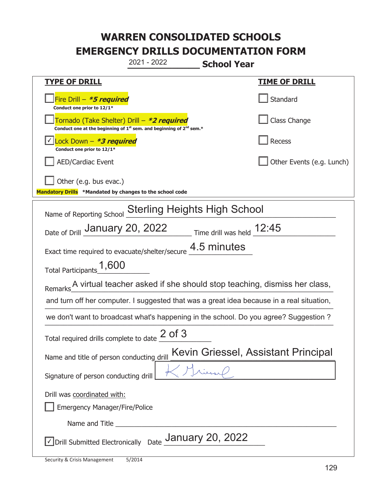|                                                                                                                                           | 2021 - 2022                         | <b>School Year</b> |                                     |
|-------------------------------------------------------------------------------------------------------------------------------------------|-------------------------------------|--------------------|-------------------------------------|
| <b>TYPE OF DRILL</b>                                                                                                                      |                                     |                    | <u>TIME OF DRILL</u>                |
| Fire Drill - *5 required<br>Conduct one prior to 12/1*                                                                                    |                                     |                    | Standard                            |
| Tornado (Take Shelter) Drill – *2 required<br>Conduct one at the beginning of 1 <sup>st</sup> sem. and beginning of 2 <sup>nd</sup> sem.* |                                     |                    | Class Change                        |
| Lock Down - <b>*3 required</b><br>Conduct one prior to 12/1*                                                                              |                                     |                    | Recess                              |
| <b>AED/Cardiac Event</b>                                                                                                                  |                                     |                    | Other Events (e.g. Lunch)           |
| Other (e.g. bus evac.)<br>Mandatory Drills *Mandated by changes to the school code                                                        |                                     |                    |                                     |
| Name of Reporting School                                                                                                                  | <b>Sterling Heights High School</b> |                    |                                     |
| Date of Drill January 20, 2022 Time drill was held 12:45                                                                                  |                                     |                    |                                     |
| Exact time required to evacuate/shelter/secure                                                                                            |                                     | 4.5 minutes        |                                     |
| 1,600<br><b>Total Participants</b>                                                                                                        |                                     |                    |                                     |
| Remarks_________ A virtual teacher asked if she should stop teaching, dismiss her class,                                                  |                                     |                    |                                     |
| and turn off her computer. I suggested that was a great idea because in a real situation,                                                 |                                     |                    |                                     |
| we don't want to broadcast what's happening in the school. Do you agree? Suggestion ?                                                     |                                     |                    |                                     |
| Total required drills complete to date                                                                                                    | $2$ of $3$                          |                    |                                     |
| Name and title of person conducting drill                                                                                                 |                                     |                    | Kevin Griessel, Assistant Principal |
| Signature of person conducting drill                                                                                                      |                                     |                    |                                     |
| Drill was coordinated with:                                                                                                               |                                     |                    |                                     |
| <b>Emergency Manager/Fire/Police</b>                                                                                                      |                                     |                    |                                     |
| Name and Title                                                                                                                            |                                     |                    |                                     |
| $ $ Drill Submitted Electronically Date $\frac{1}{2}$ January 20, 2022                                                                    |                                     |                    |                                     |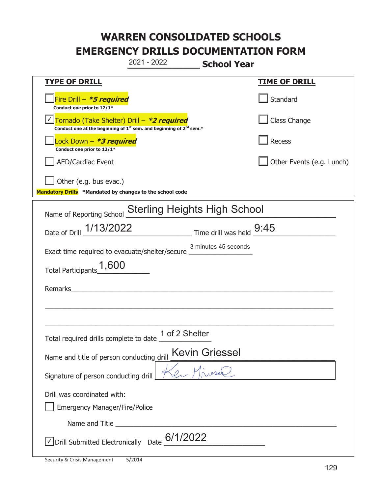|                                                                                                                                                     | 2021 - 2022 | <b>School Year</b>                                                        |                           |
|-----------------------------------------------------------------------------------------------------------------------------------------------------|-------------|---------------------------------------------------------------------------|---------------------------|
| <b>TYPE OF DRILL</b>                                                                                                                                |             |                                                                           | <b>TIME OF DRILL</b>      |
| Fire Drill - *5 required<br>Conduct one prior to 12/1*                                                                                              |             |                                                                           | Standard                  |
| <u> √ Tornado (Take Shelter) Drill – *2 required</u><br>Conduct one at the beginning of 1 <sup>st</sup> sem. and beginning of 2 <sup>nd</sup> sem.* |             |                                                                           | Class Change              |
| Lock Down - *3 required<br>Conduct one prior to 12/1*                                                                                               |             |                                                                           | Recess                    |
| <b>AED/Cardiac Event</b>                                                                                                                            |             |                                                                           | Other Events (e.g. Lunch) |
| Other (e.g. bus evac.)<br>Mandatory Drills *Mandated by changes to the school code                                                                  |             |                                                                           |                           |
| Name of Reporting School Sterling Heights High School                                                                                               |             |                                                                           |                           |
| Date of Drill 1/13/2022                                                                                                                             |             | $\frac{9:45}{\frac{3}{2}}$ Time drill was held $\frac{9:45}{\frac{3}{2}}$ |                           |
| Exact time required to evacuate/shelter/secure __________________________________                                                                   |             | 3 minutes 45 seconds                                                      |                           |
| Total Participants_1,600                                                                                                                            |             |                                                                           |                           |
| <b>Remarks</b>                                                                                                                                      |             |                                                                           |                           |
|                                                                                                                                                     |             |                                                                           |                           |
|                                                                                                                                                     |             |                                                                           |                           |
| Total required drills complete to date $\frac{1 \text{ of } 2 \text{ Shelter}}{2}$                                                                  |             |                                                                           |                           |
| Name and title of person conducting drill                                                                                                           |             | <b>Kevin Griessel</b>                                                     |                           |
| Signature of person conducting drill                                                                                                                |             |                                                                           |                           |
| Drill was coordinated with:<br><b>Emergency Manager/Fire/Police</b>                                                                                 |             |                                                                           |                           |
|                                                                                                                                                     |             | Name and Title <b>Name and Title</b>                                      |                           |
| √Drill Submitted Electronically Date 6/1/2022                                                                                                       |             |                                                                           |                           |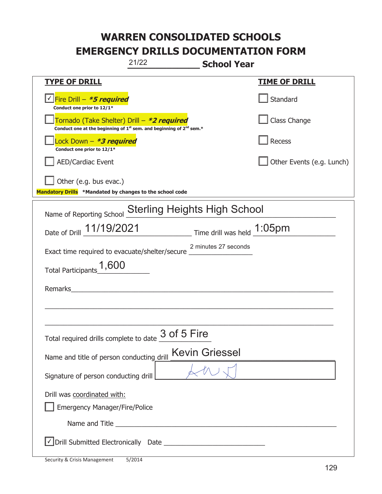| 21/22                                                                                                                                     | <b>School Year</b>                                  |
|-------------------------------------------------------------------------------------------------------------------------------------------|-----------------------------------------------------|
| <b>TYPE OF DRILL</b>                                                                                                                      | <b>TIME OF DRILL</b>                                |
| Conduct one prior to 12/1*                                                                                                                | Standard                                            |
| Tornado (Take Shelter) Drill – *2 required<br>Conduct one at the beginning of 1 <sup>st</sup> sem. and beginning of 2 <sup>nd</sup> sem.* | Class Change                                        |
| Lock Down - *3 required<br>Conduct one prior to 12/1*                                                                                     | Recess                                              |
| <b>AED/Cardiac Event</b>                                                                                                                  | Other Events (e.g. Lunch)                           |
| Other (e.g. bus evac.)<br>Mandatory Drills *Mandated by changes to the school code                                                        |                                                     |
| Name of Reporting School                                                                                                                  | <b>Sterling Heights High School</b>                 |
|                                                                                                                                           | Date of Drill 11/19/2021 Time drill was held 1:05pm |
| Exact time required to evacuate/shelter/secure _                                                                                          | 2 minutes 27 seconds                                |
| Total Participants <sup>1</sup> ,600                                                                                                      |                                                     |
| Remarks                                                                                                                                   |                                                     |
|                                                                                                                                           |                                                     |
|                                                                                                                                           |                                                     |
| Total required drills complete to date $\frac{3 \text{ of } 5 \text{ Fire}}$                                                              |                                                     |
| Name and title of person conducting drill                                                                                                 | <b>Kevin Griessel</b>                               |
| Signature of person conducting drill                                                                                                      |                                                     |
| Drill was coordinated with:                                                                                                               |                                                     |
| <b>Emergency Manager/Fire/Police</b>                                                                                                      |                                                     |
|                                                                                                                                           |                                                     |
|                                                                                                                                           |                                                     |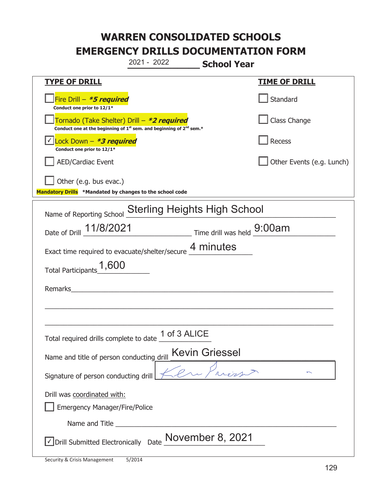|                                                                                           | 2021 - 2022                                                                                                           | <b>School Year</b>    |                           |
|-------------------------------------------------------------------------------------------|-----------------------------------------------------------------------------------------------------------------------|-----------------------|---------------------------|
| <b>TYPE OF DRILL</b>                                                                      |                                                                                                                       |                       | <b>TIME OF DRILL</b>      |
| Fire Drill - <b>*5 required</b><br>Conduct one prior to 12/1*                             |                                                                                                                       |                       | Standard                  |
| Tornado (Take Shelter) Drill – *2 required                                                | Conduct one at the beginning of 1 <sup>st</sup> sem. and beginning of 2 <sup>nd</sup> sem.*                           |                       | Class Change              |
| Lock Down $-$ *3 required<br>Conduct one prior to 12/1*                                   |                                                                                                                       |                       | Recess                    |
| <b>AED/Cardiac Event</b>                                                                  |                                                                                                                       |                       | Other Events (e.g. Lunch) |
| Other (e.g. bus evac.)<br>Mandatory Drills *Mandated by changes to the school code        |                                                                                                                       |                       |                           |
| Name of Reporting School Sterling Heights High School                                     |                                                                                                                       |                       |                           |
| Date of Drill 11/8/2021 Time drill was held 9:00am                                        |                                                                                                                       |                       |                           |
| Exact time required to evacuate/shelter/secure $\underline{4}$ minutes                    |                                                                                                                       |                       |                           |
| Total Participants <sup>1</sup> ,600                                                      |                                                                                                                       |                       |                           |
| Remarks                                                                                   | <u> 1980 - Jan Samuel Barbara, martin a shekara 1980 - An tsara 1980 - An tsara 1980 - An tsara 1980 - An tsara 1</u> |                       |                           |
|                                                                                           |                                                                                                                       |                       |                           |
|                                                                                           |                                                                                                                       |                       |                           |
| Total required drills complete to date $\underbrace{\hspace{1em}1\hspace{1em}$ of 3 ALICE |                                                                                                                       |                       |                           |
| Name and title of person conducting drill                                                 |                                                                                                                       | <b>Kevin Griessel</b> |                           |
| Signature of person conducting drill                                                      |                                                                                                                       |                       |                           |
| Drill was coordinated with:<br><b>Emergency Manager/Fire/Police</b>                       |                                                                                                                       |                       |                           |
|                                                                                           |                                                                                                                       |                       |                           |
| $\Box$ Drill Submitted Electronically Date $\frac{\textsf{November 8, 2021}}{}$           |                                                                                                                       |                       |                           |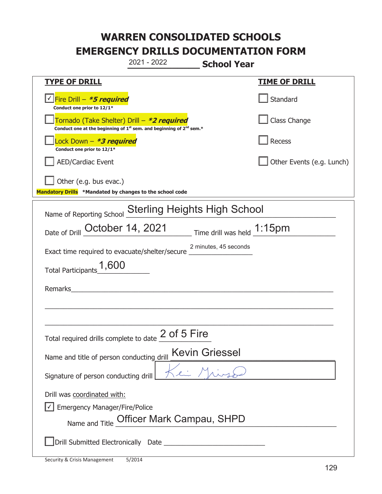**\_\_\_\_\_\_\_\_\_\_\_\_\_ School Year TYPE OF DRILL TIME OF DRILL**  侊Fire Drill – **\*5 required** ✔ **Conduct one prior to 12/1\* Standard** 侊Tornado (Take Shelter) Drill – **\*2 required** Conduct one at the beginning of 1<sup>st</sup> sem. and beginning of 2<sup>nd</sup> sem.\* Class Change 侊Lock Down – **\*3 required Conduct one prior to 12/1\* Recess** AED/Cardiac Event **AED/Cardiac Event Network Network Network Network Network Network Network Network Network Network Network Network Network Network Network Network Network Network Net** Other (e.g. bus evac.) **Mandatory Drills \*Mandated by changes to the school code**  Name of Reporting School Sterling Heights High School Date of Drill  $\overline{\text{October 14, 2021}}$  Time drill was held  $\overline{\text{1:15pm}}$ Exact time required to evacuate/shelter/secure \_\_\_\_\_\_\_\_\_\_\_\_\_\_\_\_\_ 2 minutes, 45 seconds Total Participants  $1,600$ Remarks \_\_\_\_\_\_\_\_\_\_\_\_\_\_\_\_\_\_\_\_\_\_\_\_\_\_\_\_\_\_\_\_\_\_\_\_\_\_\_\_\_\_\_\_\_\_\_\_\_\_\_\_\_\_\_\_\_\_\_\_\_\_\_\_\_\_\_\_\_\_\_\_\_\_\_\_\_ \_\_\_\_\_\_\_\_\_\_\_\_\_\_\_\_\_\_\_\_\_\_\_\_\_\_\_\_\_\_\_\_\_\_\_\_\_\_\_\_\_\_\_\_\_\_\_\_\_\_\_\_\_\_\_\_\_\_\_\_\_\_\_\_\_\_\_\_\_\_\_\_\_\_\_\_\_ Total required drills complete to date  $\frac{2 \text{ of } 5 \text{ Fire}}{2}$ Name and title of person conducting drill Kevin Griessel Signature of person conducting drill Drill was coordinated with:  $\boxed{\checkmark}$  Emergency Manager/Fire/Police Name and Title Officer Mark Campau, SHPD ܆Drill Submitted Electronically Date \_\_\_\_\_\_\_\_\_\_\_\_\_\_\_\_\_\_\_\_\_\_\_\_\_\_\_ 2021 - 2022